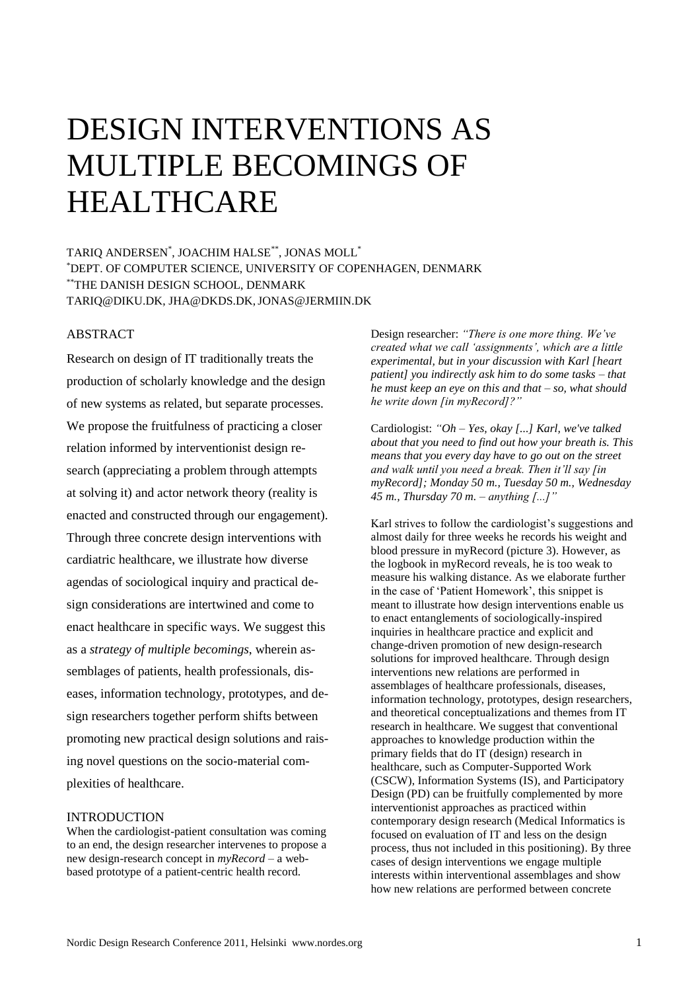# DESIGN INTERVENTIONS AS MULTIPLE BECOMINGS OF HEALTHCARE

TARIQ ANDERSEN\* , JOACHIM HALSE\*\*, JONAS MOLL\* \*DEPT. OF COMPUTER SCIENCE, UNIVERSITY OF COPENHAGEN, DENMARK \*\*THE DANISH DESIGN SCHOOL, DENMARK TARIQ@DIKU.DK, JHA@DKDS.DK,JONAS@JERMIIN.DK

# **ABSTRACT**

Research on design of IT traditionally treats the production of scholarly knowledge and the design of new systems as related, but separate processes. We propose the fruitfulness of practicing a closer relation informed by interventionist design research (appreciating a problem through attempts at solving it) and actor network theory (reality is enacted and constructed through our engagement). Through three concrete design interventions with cardiatric healthcare, we illustrate how diverse agendas of sociological inquiry and practical design considerations are intertwined and come to enact healthcare in specific ways. We suggest this as a *strategy of multiple becomings*, wherein assemblages of patients, health professionals, diseases, information technology, prototypes, and design researchers together perform shifts between promoting new practical design solutions and raising novel questions on the socio-material complexities of healthcare.

# INTRODUCTION

When the cardiologist-patient consultation was coming to an end, the design researcher intervenes to propose a new design-research concept in *myRecord* – a webbased prototype of a patient-centric health record.

Design researcher: *"There is one more thing. We"ve created what we call "assignments", which are a little experimental, but in your discussion with Karl [heart patient] you indirectly ask him to do some tasks – that he must keep an eye on this and that – so, what should he write down [in myRecord]?"*

Cardiologist: *"Oh – Yes, okay [...] Karl, we've talked about that you need to find out how your breath is. This means that you every day have to go out on the street and walk until you need a break. Then it"ll say [in myRecord]; Monday 50 m., Tuesday 50 m., Wednesday 45 m., Thursday 70 m. – anything [...]"*

Karl strives to follow the cardiologist's suggestions and almost daily for three weeks he records his weight and blood pressure in myRecord (picture 3). However, as the logbook in myRecord reveals, he is too weak to measure his walking distance. As we elaborate further in the case of 'Patient Homework', this snippet is meant to illustrate how design interventions enable us to enact entanglements of sociologically-inspired inquiries in healthcare practice and explicit and change-driven promotion of new design-research solutions for improved healthcare. Through design interventions new relations are performed in assemblages of healthcare professionals, diseases, information technology, prototypes, design researchers, and theoretical conceptualizations and themes from IT research in healthcare. We suggest that conventional approaches to knowledge production within the primary fields that do IT (design) research in healthcare, such as Computer-Supported Work (CSCW), Information Systems (IS), and Participatory Design (PD) can be fruitfully complemented by more interventionist approaches as practiced within contemporary design research (Medical Informatics is focused on evaluation of IT and less on the design process, thus not included in this positioning). By three cases of design interventions we engage multiple interests within interventional assemblages and show how new relations are performed between concrete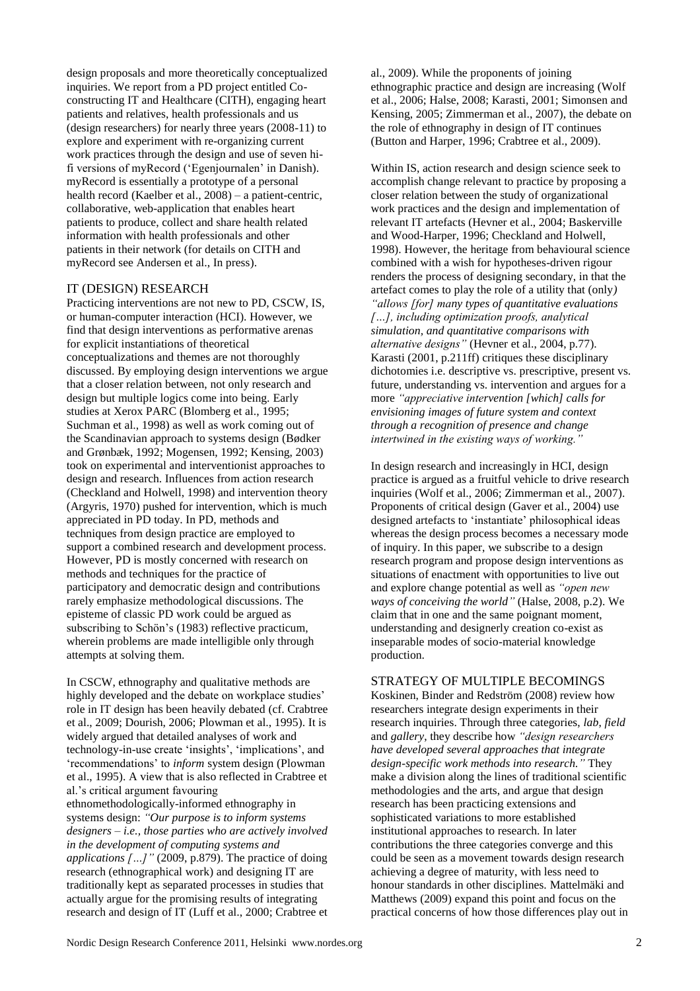design proposals and more theoretically conceptualized inquiries. We report from a PD project entitled Coconstructing IT and Healthcare (CITH), engaging heart patients and relatives, health professionals and us (design researchers) for nearly three years (2008-11) to explore and experiment with re-organizing current work practices through the design and use of seven hifi versions of myRecord ('Egenjournalen' in Danish). myRecord is essentially a prototype of a personal health record [\(Kaelber et al., 2008\)](#page-8-0) – a patient-centric, collaborative, web-application that enables heart patients to produce, collect and share health related information with health professionals and other patients in their network [\(for details on CITH and](#page-8-1)  [myRecord see Andersen et al., In press\)](#page-8-1).

## IT (DESIGN) RESEARCH

Practicing interventions are not new to PD, CSCW, IS, or human-computer interaction (HCI). However, we find that design interventions as performative arenas for explicit instantiations of theoretical conceptualizations and themes are not thoroughly discussed. By employing design interventions we argue that a closer relation between, not only research and design but multiple logics come into being. Early studies at Xerox PARC [\(Blomberg et al., 1995;](#page-8-2) [Suchman et al., 1998\)](#page-9-0) as well as work coming out of the Scandinavian approach to systems design [\(Bødker](#page-8-3)  [and Grønbæk, 1992;](#page-8-3) [Mogensen, 1992;](#page-9-1) [Kensing, 2003\)](#page-8-4) took on experimental and interventionist approaches to design and research. Influences from action research [\(Checkland and Holwell, 1998\)](#page-8-5) and intervention theory [\(Argyris, 1970\)](#page-8-6) pushed for intervention, which is much appreciated in PD today. In PD, methods and techniques from design practice are employed to support a combined research and development process. However, PD is mostly concerned with research on methods and techniques for the practice of participatory and democratic design and contributions rarely emphasize methodological discussions. The episteme of classic PD work could be argued as subscribing to Schön's [\(1983\)](#page-9-2) reflective practicum, wherein problems are made intelligible only through attempts at solving them.

In CSCW, ethnography and qualitative methods are highly developed and the debate on workplace studies' role in IT design has been heavily debated (cf. [Crabtree](#page-8-7)  [et al., 2009;](#page-8-7) [Dourish, 2006;](#page-8-8) [Plowman et al., 1995\)](#page-9-3). It is widely argued that detailed analyses of work and technology-in-use create 'insights', 'implications', and 'recommendations' to *inform* system design [\(Plowman](#page-9-3)  [et al., 1995\)](#page-9-3). A view that is also reflected in Crabtree et al.'s critical argument favouring

ethnomethodologically-informed ethnography in systems design: *"Our purpose is to inform systems designers – i.e., those parties who are actively involved in the development of computing systems and applications […]"* [\(2009, p.879\)](#page-8-7). The practice of doing research (ethnographical work) and designing IT are traditionally kept as separated processes in studies that actually argue for the promising results of integrating research and design of IT [\(Luff et al., 2000;](#page-8-9) [Crabtree et](#page-8-7)  [al., 2009\)](#page-8-7). While the proponents of joining ethnographic practice and design are increasing [\(Wolf](#page-9-4)  [et al., 2006;](#page-9-4) [Halse, 2008;](#page-8-10) [Karasti, 2001;](#page-8-11) [Simonsen and](#page-9-5)  [Kensing, 2005;](#page-9-5) [Zimmerman et al., 2007\)](#page-9-6), the debate on the role of ethnography in design of IT continues [\(Button and Harper, 1996;](#page-8-12) [Crabtree et al., 2009\)](#page-8-7).

Within IS, action research and design science seek to accomplish change relevant to practice by proposing a closer relation between the study of organizational work practices and the design and implementation of relevant IT artefacts [\(Hevner et al., 2004;](#page-8-13) [Baskerville](#page-8-14)  [and Wood-Harper, 1996;](#page-8-14) [Checkland and Holwell,](#page-8-5)  [1998\)](#page-8-5). However, the heritage from behavioural science combined with a wish for hypotheses-driven rigour renders the process of designing secondary, in that the artefact comes to play the role of a utility that (only*) "allows [for] many types of quantitative evaluations […], including optimization proofs, analytical simulation, and quantitative comparisons with alternative designs"* [\(Hevner et al., 2004, p.77\)](#page-8-13). Karasti [\(2001, p.211ff\)](#page-8-11) critiques these disciplinary dichotomies i.e. descriptive vs. prescriptive, present vs. future, understanding vs. intervention and argues for a more *"appreciative intervention [which] calls for envisioning images of future system and context through a recognition of presence and change intertwined in the existing ways of working."*

In design research and increasingly in HCI, design practice is argued as a fruitful vehicle to drive research inquiries [\(Wolf et al., 2006;](#page-9-4) [Zimmerman et al., 2007\)](#page-9-6). Proponents of critical design [\(Gaver et al., 2004\)](#page-8-15) use designed artefacts to 'instantiate' philosophical ideas whereas the design process becomes a necessary mode of inquiry. In this paper, we subscribe to a design research program and propose design interventions as situations of enactment with opportunities to live out and explore change potential as well as *"open new ways of conceiving the world"* [\(Halse, 2008, p.2\)](#page-8-10). We claim that in one and the same poignant moment, understanding and designerly creation co-exist as inseparable modes of socio-material knowledge production.

## STRATEGY OF MULTIPLE BECOMINGS

Koskinen, Binder and Redström [\(2008\)](#page-8-16) review how researchers integrate design experiments in their research inquiries. Through three categories, *lab*, *field* and *gallery*, they describe how *"design researchers have developed several approaches that integrate design-specific work methods into research."* They make a division along the lines of traditional scientific methodologies and the arts, and argue that design research has been practicing extensions and sophisticated variations to more established institutional approaches to research. In later contributions the three categories converge and this could be seen as a movement towards design research achieving a degree of maturity, with less need to honour standards in other disciplines. Mattelmäki and Matthews [\(2009\)](#page-9-7) expand this point and focus on the practical concerns of how those differences play out in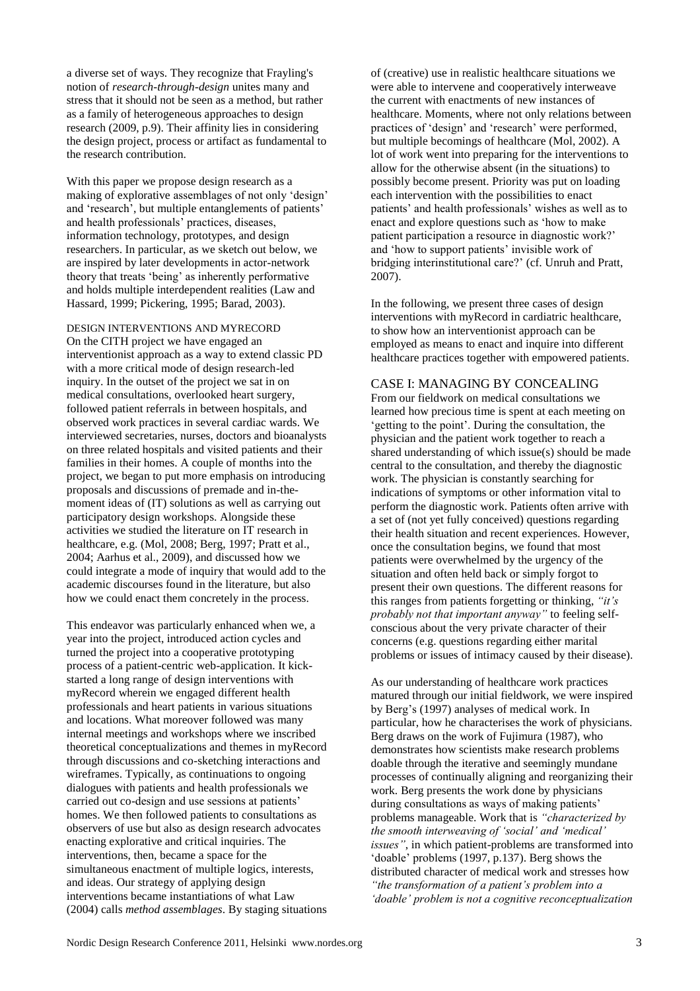a diverse set of ways. They recognize that Frayling's notion of *research-through-design* unites many and stress that it should not be seen as a method, but rather as a family of heterogeneous approaches to design research [\(2009, p.9\)](#page-9-7). Their affinity lies in considering the design project, process or artifact as fundamental to the research contribution.

With this paper we propose design research as a making of explorative assemblages of not only 'design' and 'research', but multiple entanglements of patients' and health professionals' practices, diseases, information technology, prototypes, and design researchers. In particular, as we sketch out below, we are inspired by later developments in actor-network theory that treats 'being' as inherently performative and holds multiple interdependent realities [\(Law and](#page-8-17)  [Hassard, 1999;](#page-8-17) [Pickering, 1995;](#page-9-8) [Barad, 2003\)](#page-8-18).

DESIGN INTERVENTIONS AND MYRECORD On the CITH project we have engaged an interventionist approach as a way to extend classic PD with a more critical mode of design research-led inquiry. In the outset of the project we sat in on medical consultations, overlooked heart surgery, followed patient referrals in between hospitals, and observed work practices in several cardiac wards. We interviewed secretaries, nurses, doctors and bioanalysts on three related hospitals and visited patients and their families in their homes. A couple of months into the project, we began to put more emphasis on introducing proposals and discussions of premade and in-themoment ideas of (IT) solutions as well as carrying out participatory design workshops. Alongside these activities we studied the literature on IT research in healthcare, e.g. [\(Mol, 2008;](#page-9-9) [Berg, 1997;](#page-8-19) [Pratt et al.,](#page-9-10)  [2004;](#page-9-10) [Aarhus et al., 2009\)](#page-8-20), and discussed how we could integrate a mode of inquiry that would add to the academic discourses found in the literature, but also how we could enact them concretely in the process.

This endeavor was particularly enhanced when we, a year into the project, introduced action cycles and turned the project into a cooperative prototyping process of a patient-centric web-application. It kickstarted a long range of design interventions with myRecord wherein we engaged different health professionals and heart patients in various situations and locations. What moreover followed was many internal meetings and workshops where we inscribed theoretical conceptualizations and themes in myRecord through discussions and co-sketching interactions and wireframes. Typically, as continuations to ongoing dialogues with patients and health professionals we carried out co-design and use sessions at patients' homes. We then followed patients to consultations as observers of use but also as design research advocates enacting explorative and critical inquiries. The interventions, then, became a space for the simultaneous enactment of multiple logics, interests, and ideas. Our strategy of applying design interventions became instantiations of what Law [\(2004\)](#page-8-21) calls *method assemblages*. By staging situations

of (creative) use in realistic healthcare situations we were able to intervene and cooperatively interweave the current with enactments of new instances of healthcare. Moments, where not only relations between practices of 'design' and 'research' were performed, but multiple becomings of healthcare [\(Mol, 2002\)](#page-9-11). A lot of work went into preparing for the interventions to allow for the otherwise absent (in the situations) to possibly become present. Priority was put on loading each intervention with the possibilities to enact patients' and health professionals' wishes as well as to enact and explore questions such as 'how to make patient participation a resource in diagnostic work?' and 'how to support patients' invisible work of bridging interinstitutional care?' [\(cf. Unruh and Pratt,](#page-9-12)  [2007\)](#page-9-12).

In the following, we present three cases of design interventions with myRecord in cardiatric healthcare, to show how an interventionist approach can be employed as means to enact and inquire into different healthcare practices together with empowered patients.

## CASE I: MANAGING BY CONCEALING

From our fieldwork on medical consultations we learned how precious time is spent at each meeting on 'getting to the point'. During the consultation, the physician and the patient work together to reach a shared understanding of which issue(s) should be made central to the consultation, and thereby the diagnostic work. The physician is constantly searching for indications of symptoms or other information vital to perform the diagnostic work. Patients often arrive with a set of (not yet fully conceived) questions regarding their health situation and recent experiences. However, once the consultation begins, we found that most patients were overwhelmed by the urgency of the situation and often held back or simply forgot to present their own questions. The different reasons for this ranges from patients forgetting or thinking, *"it"s probably not that important anyway"* to feeling selfconscious about the very private character of their concerns (e.g. questions regarding either marital problems or issues of intimacy caused by their disease).

As our understanding of healthcare work practices matured through our initial fieldwork, we were inspired by Berg's [\(1997\)](#page-8-19) analyses of medical work. In particular, how he characterises the work of physicians. Berg draws on the work of Fujimura [\(1987\)](#page-8-22), who demonstrates how scientists make research problems doable through the iterative and seemingly mundane processes of continually aligning and reorganizing their work. Berg presents the work done by physicians during consultations as ways of making patients' problems manageable. Work that is *"characterized by the smooth interweaving of "social" and "medical" issues"*, in which patient-problems are transformed into 'doable' problems [\(1997, p.137\)](#page-8-19). Berg shows the distributed character of medical work and stresses how *"the transformation of a patient"s problem into a "doable" problem is not a cognitive reconceptualization*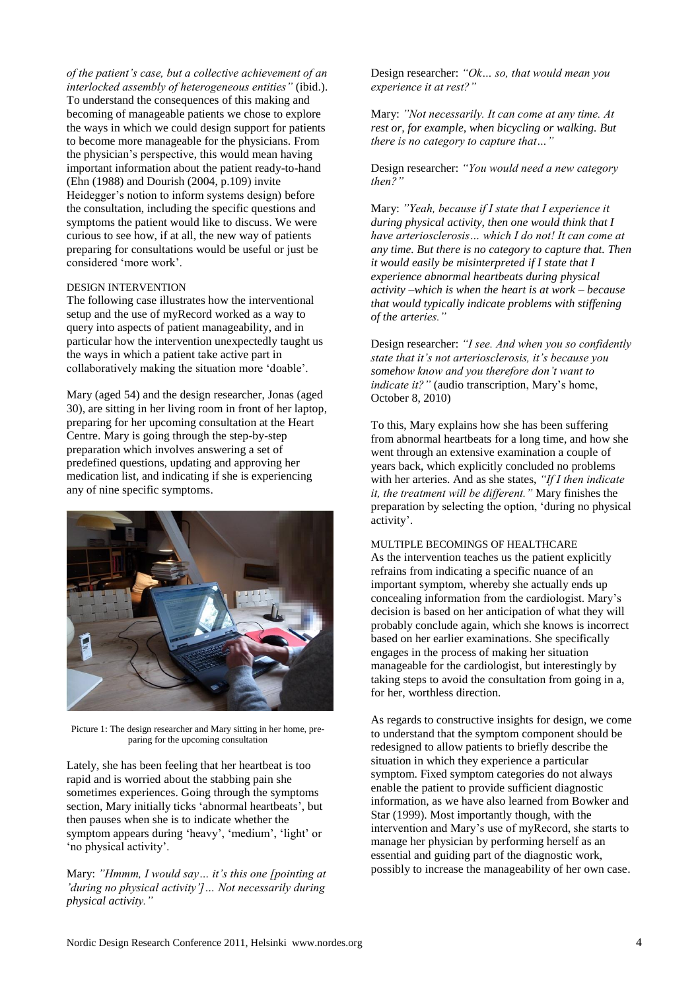*of the patient"s case, but a collective achievement of an interlocked assembly of heterogeneous entities"* (ibid.). To understand the consequences of this making and becoming of manageable patients we chose to explore the ways in which we could design support for patients to become more manageable for the physicians. From the physician's perspective, this would mean having important information about the patient ready-to-hand (Ehn [\(1988\)](#page-8-23) and Dourish [\(2004, p.109\)](#page-8-24) invite Heidegger's notion to inform systems design) before the consultation, including the specific questions and symptoms the patient would like to discuss. We were curious to see how, if at all, the new way of patients preparing for consultations would be useful or just be considered 'more work'.

#### DESIGN INTERVENTION

The following case illustrates how the interventional setup and the use of myRecord worked as a way to query into aspects of patient manageability, and in particular how the intervention unexpectedly taught us the ways in which a patient take active part in collaboratively making the situation more 'doable'.

Mary (aged 54) and the design researcher, Jonas (aged 30), are sitting in her living room in front of her laptop, preparing for her upcoming consultation at the Heart Centre. Mary is going through the step-by-step preparation which involves answering a set of predefined questions, updating and approving her medication list, and indicating if she is experiencing any of nine specific symptoms.



Picture 1: The design researcher and Mary sitting in her home, preparing for the upcoming consultation

Lately, she has been feeling that her heartbeat is too rapid and is worried about the stabbing pain she sometimes experiences. Going through the symptoms section, Mary initially ticks 'abnormal heartbeats', but then pauses when she is to indicate whether the symptom appears during 'heavy', 'medium', 'light' or 'no physical activity'.

Mary: "Hmmm, I would say... it's this one [pointing at *"during no physical activity"]… Not necessarily during physical activity."*

Design researcher: *"Ok… so, that would mean you experience it at rest?"*

Mary: *"Not necessarily. It can come at any time. At rest or, for example, when bicycling or walking. But there is no category to capture that…"*

Design researcher: *"You would need a new category then?"*

Mary: *"Yeah, because if I state that I experience it during physical activity, then one would think that I have arteriosclerosis… which I do not! It can come at any time. But there is no category to capture that. Then it would easily be misinterpreted if I state that I experience abnormal heartbeats during physical activity –which is when the heart is at work – because that would typically indicate problems with stiffening of the arteries."*

Design researcher: *"I see. And when you so confidently state that it"s not arteriosclerosis, it"s because you somehow know and you therefore don"t want to indicate it?"* (audio transcription, Mary's home, October 8, 2010)

To this, Mary explains how she has been suffering from abnormal heartbeats for a long time, and how she went through an extensive examination a couple of years back, which explicitly concluded no problems with her arteries. And as she states, *"If I then indicate it, the treatment will be different."* Mary finishes the preparation by selecting the option, 'during no physical activity'.

MULTIPLE BECOMINGS OF HEALTHCARE As the intervention teaches us the patient explicitly refrains from indicating a specific nuance of an important symptom, whereby she actually ends up concealing information from the cardiologist. Mary's decision is based on her anticipation of what they will probably conclude again, which she knows is incorrect based on her earlier examinations. She specifically engages in the process of making her situation manageable for the cardiologist, but interestingly by taking steps to avoid the consultation from going in a, for her, worthless direction.

As regards to constructive insights for design, we come to understand that the symptom component should be redesigned to allow patients to briefly describe the situation in which they experience a particular symptom. Fixed symptom categories do not always enable the patient to provide sufficient diagnostic information, as we have also learned from Bowker and Star [\(1999\)](#page-8-25). Most importantly though, with the intervention and Mary's use of myRecord, she starts to manage her physician by performing herself as an essential and guiding part of the diagnostic work, possibly to increase the manageability of her own case.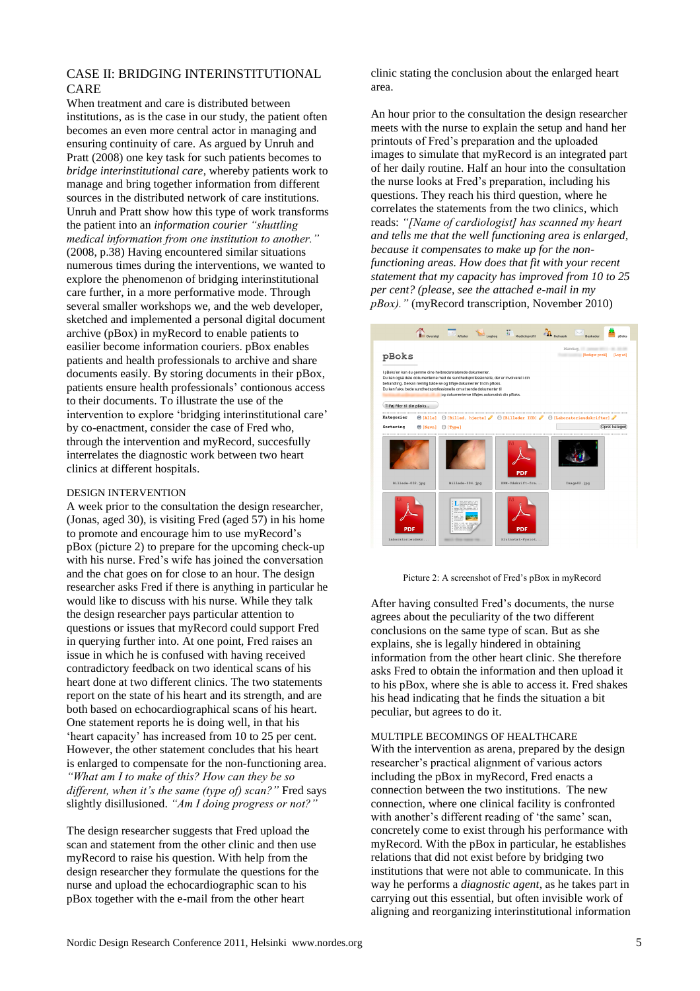# CASE II: BRIDGING INTERINSTITUTIONAL CARE

When treatment and care is distributed between institutions, as is the case in our study, the patient often becomes an even more central actor in managing and ensuring continuity of care. As argued by Unruh and Pratt [\(2008\)](#page-9-13) one key task for such patients becomes to *bridge interinstitutional care*, whereby patients work to manage and bring together information from different sources in the distributed network of care institutions. Unruh and Pratt show how this type of work transforms the patient into an *information courier "shuttling medical information from one institution to another."* [\(2008, p.38\)](#page-9-13) Having encountered similar situations numerous times during the interventions, we wanted to explore the phenomenon of bridging interinstitutional care further, in a more performative mode. Through several smaller workshops we, and the web developer, sketched and implemented a personal digital document archive (pBox) in myRecord to enable patients to easilier become information couriers. pBox enables patients and health professionals to archive and share documents easily. By storing documents in their pBox, patients ensure health professionals' contionous access to their documents. To illustrate the use of the intervention to explore 'bridging interinstitutional care' by co-enactment, consider the case of Fred who, through the intervention and myRecord, succesfully interrelates the diagnostic work between two heart clinics at different hospitals.

#### DESIGN INTERVENTION

A week prior to the consultation the design researcher, (Jonas, aged 30), is visiting Fred (aged 57) in his home to promote and encourage him to use myRecord's pBox (picture 2) to prepare for the upcoming check-up with his nurse. Fred's wife has joined the conversation and the chat goes on for close to an hour. The design researcher asks Fred if there is anything in particular he would like to discuss with his nurse. While they talk the design researcher pays particular attention to questions or issues that myRecord could support Fred in querying further into. At one point, Fred raises an issue in which he is confused with having received contradictory feedback on two identical scans of his heart done at two different clinics. The two statements report on the state of his heart and its strength, and are both based on echocardiographical scans of his heart. One statement reports he is doing well, in that his 'heart capacity' has increased from 10 to 25 per cent. However, the other statement concludes that his heart is enlarged to compensate for the non-functioning area. *"What am I to make of this? How can they be so different, when it"s the same (type of) scan?"* Fred says slightly disillusioned. *"Am I doing progress or not?"*

The design researcher suggests that Fred upload the scan and statement from the other clinic and then use myRecord to raise his question. With help from the design researcher they formulate the questions for the nurse and upload the echocardiographic scan to his pBox together with the e-mail from the other heart

clinic stating the conclusion about the enlarged heart area.

An hour prior to the consultation the design researcher meets with the nurse to explain the setup and hand her printouts of Fred's preparation and the uploaded images to simulate that myRecord is an integrated part of her daily routine. Half an hour into the consultation the nurse looks at Fred's preparation, including his questions. They reach his third question, where he correlates the statements from the two clinics, which reads: *"[Name of cardiologist] has scanned my heart and tells me that the well functioning area is enlarged, because it compensates to make up for the nonfunctioning areas. How does that fit with your recent statement that my capacity has improved from 10 to 25 per cent? (please, see the attached e-mail in my pBox)."* (myRecord transcription, November 2010)





After having consulted Fred's documents, the nurse agrees about the peculiarity of the two different conclusions on the same type of scan. But as she explains, she is legally hindered in obtaining information from the other heart clinic. She therefore asks Fred to obtain the information and then upload it to his pBox, where she is able to access it. Fred shakes his head indicating that he finds the situation a bit peculiar, but agrees to do it.

MULTIPLE BECOMINGS OF HEALTHCARE With the intervention as arena, prepared by the design researcher's practical alignment of various actors including the pBox in myRecord, Fred enacts a connection between the two institutions. The new connection, where one clinical facility is confronted with another's different reading of 'the same' scan, concretely come to exist through his performance with myRecord. With the pBox in particular, he establishes relations that did not exist before by bridging two institutions that were not able to communicate. In this way he performs a *diagnostic agent*, as he takes part in carrying out this essential, but often invisible work of aligning and reorganizing interinstitutional information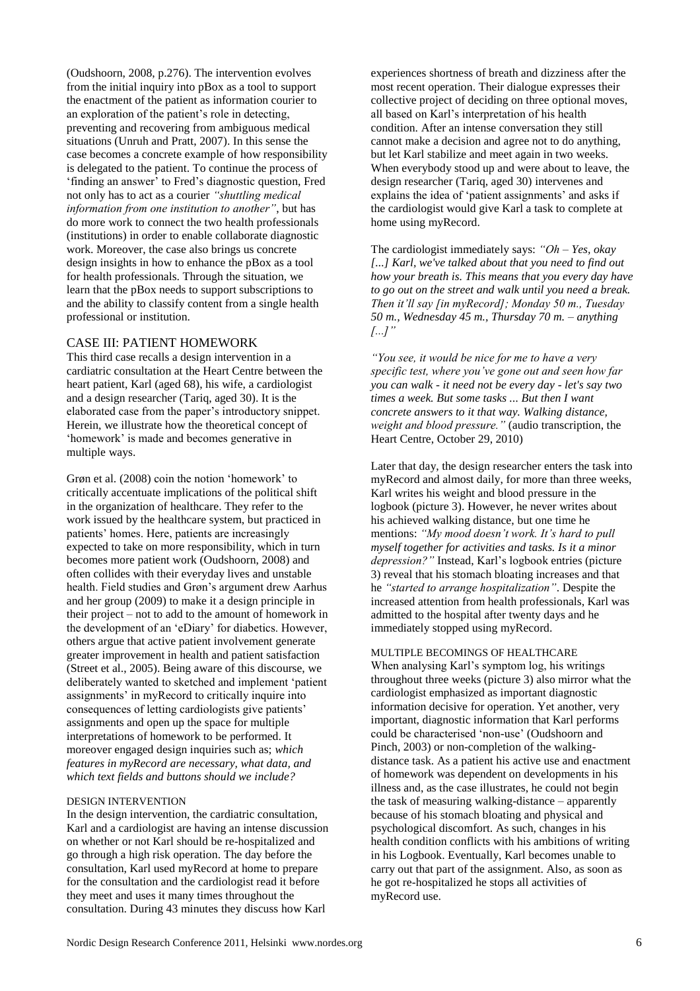[\(Oudshoorn, 2008, p.276\)](#page-9-14). The intervention evolves from the initial inquiry into pBox as a tool to support the enactment of the patient as information courier to an exploration of the patient's role in detecting, preventing and recovering from ambiguous medical situations [\(Unruh and Pratt, 2007\)](#page-9-12). In this sense the case becomes a concrete example of how responsibility is delegated to the patient. To continue the process of 'finding an answer' to Fred's diagnostic question, Fred not only has to act as a courier *"shuttling medical information from one institution to another"*, but has do more work to connect the two health professionals (institutions) in order to enable collaborate diagnostic work. Moreover, the case also brings us concrete design insights in how to enhance the pBox as a tool for health professionals. Through the situation, we learn that the pBox needs to support subscriptions to and the ability to classify content from a single health professional or institution.

#### CASE III: PATIENT HOMEWORK

This third case recalls a design intervention in a cardiatric consultation at the Heart Centre between the heart patient, Karl (aged 68), his wife, a cardiologist and a design researcher (Tariq, aged 30). It is the elaborated case from the paper's introductory snippet. Herein, we illustrate how the theoretical concept of 'homework' is made and becomes generative in multiple ways.

Grøn et al. [\(2008\)](#page-8-26) coin the notion 'homework' to critically accentuate implications of the political shift in the organization of healthcare. They refer to the work issued by the healthcare system, but practiced in patients' homes. Here, patients are increasingly expected to take on more responsibility, which in turn becomes more patient work [\(Oudshoorn, 2008\)](#page-9-14) and often collides with their everyday lives and unstable health. Field studies and Grøn's argument drew Aarhus and her group [\(2009\)](#page-8-20) to make it a design principle in their project – not to add to the amount of homework in the development of an 'eDiary' for diabetics. However, others argue that active patient involvement generate greater improvement in health and patient satisfaction [\(Street et al., 2005\)](#page-9-15). Being aware of this discourse, we deliberately wanted to sketched and implement 'patient assignments' in myRecord to critically inquire into consequences of letting cardiologists give patients' assignments and open up the space for multiple interpretations of homework to be performed. It moreover engaged design inquiries such as; *which features in myRecord are necessary, what data, and which text fields and buttons should we include?*

## DESIGN INTERVENTION

In the design intervention, the cardiatric consultation, Karl and a cardiologist are having an intense discussion on whether or not Karl should be re-hospitalized and go through a high risk operation. The day before the consultation, Karl used myRecord at home to prepare for the consultation and the cardiologist read it before they meet and uses it many times throughout the consultation. During 43 minutes they discuss how Karl

experiences shortness of breath and dizziness after the most recent operation. Their dialogue expresses their collective project of deciding on three optional moves, all based on Karl's interpretation of his health condition. After an intense conversation they still cannot make a decision and agree not to do anything, but let Karl stabilize and meet again in two weeks. When everybody stood up and were about to leave, the design researcher (Tariq, aged 30) intervenes and explains the idea of 'patient assignments' and asks if the cardiologist would give Karl a task to complete at home using myRecord.

The cardiologist immediately says: *"Oh – Yes, okay [...] Karl, we've talked about that you need to find out how your breath is. This means that you every day have to go out on the street and walk until you need a break. Then it"ll say [in myRecord]; Monday 50 m., Tuesday 50 m., Wednesday 45 m., Thursday 70 m. – anything [...]"*

*"You see, it would be nice for me to have a very specific test, where you"ve gone out and seen how far you can walk - it need not be every day - let's say two times a week. But some tasks ... But then I want concrete answers to it that way. Walking distance, weight and blood pressure."* (audio transcription, the Heart Centre, October 29, 2010)

Later that day, the design researcher enters the task into myRecord and almost daily, for more than three weeks, Karl writes his weight and blood pressure in the logbook (picture 3). However, he never writes about his achieved walking distance, but one time he mentions: *"My mood doesn"t work. It"s hard to pull myself together for activities and tasks. Is it a minor depression?"* Instead, Karl's logbook entries (picture 3) reveal that his stomach bloating increases and that he *"started to arrange hospitalization"*. Despite the increased attention from health professionals, Karl was admitted to the hospital after twenty days and he immediately stopped using myRecord.

MULTIPLE BECOMINGS OF HEALTHCARE When analysing Karl's symptom log, his writings throughout three weeks (picture 3) also mirror what the cardiologist emphasized as important diagnostic information decisive for operation. Yet another, very important, diagnostic information that Karl performs could be characterised 'non-use' [\(Oudshoorn and](#page-9-16)  [Pinch, 2003\)](#page-9-16) or non-completion of the walkingdistance task. As a patient his active use and enactment of homework was dependent on developments in his illness and, as the case illustrates, he could not begin the task of measuring walking-distance – apparently because of his stomach bloating and physical and psychological discomfort. As such, changes in his health condition conflicts with his ambitions of writing in his Logbook. Eventually, Karl becomes unable to carry out that part of the assignment. Also, as soon as he got re-hospitalized he stops all activities of myRecord use.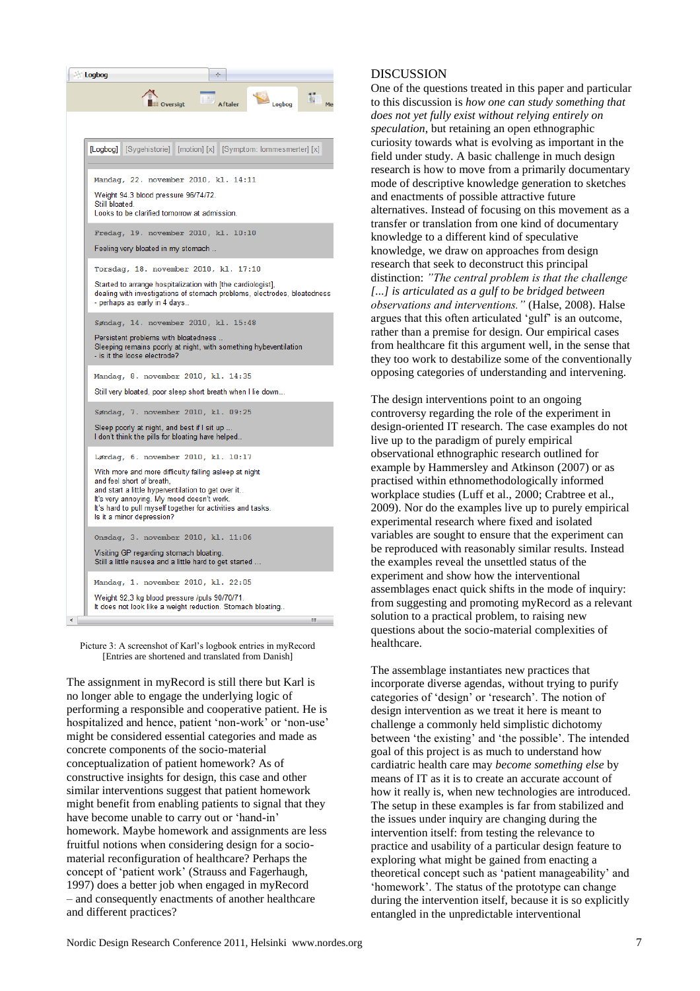| Logbog<br>de.                                                                                                                                                                                                                                                                     |                     |
|-----------------------------------------------------------------------------------------------------------------------------------------------------------------------------------------------------------------------------------------------------------------------------------|---------------------|
| w<br><b>IIII</b> Oversigt<br><b>Aftaler</b><br>Logbog                                                                                                                                                                                                                             | $\frac{1}{9}$<br>Me |
|                                                                                                                                                                                                                                                                                   |                     |
| [Logbog] [Sygehistorie] [motion] [x] [Symptom: lommesmerter] [x]                                                                                                                                                                                                                  |                     |
| Mandag, 22. november 2010, kl. 14:11                                                                                                                                                                                                                                              |                     |
| Weight 94.3 blood pressure 96/74/72.<br>Still bloated.<br>Looks to be clarified tomorrow at admission.                                                                                                                                                                            |                     |
| Fredag, 19. november 2010, kl. 10:10                                                                                                                                                                                                                                              |                     |
| Feeling very bloated in my stomach                                                                                                                                                                                                                                                |                     |
| Torsdag, 18. november 2010, kl. 17:10                                                                                                                                                                                                                                             |                     |
| Started to arrange hospitalization with [the cardiologist].<br>dealing with investigations of stomach problems, electrodes, bloatedness<br>- perhaps as early in 4 days                                                                                                           |                     |
| Søndag, 14. november 2010, kl. 15:48                                                                                                                                                                                                                                              |                     |
| Persistent problems with bloatedness<br>Sleeping remains poorly at night, with something hybeventilation<br>- is it the loose electrode?                                                                                                                                          |                     |
| Mandag, 8. november 2010, kl. 14:35                                                                                                                                                                                                                                               |                     |
| Still very bloated, poor sleep short breath when I lie down                                                                                                                                                                                                                       |                     |
| Søndag, 7. november 2010, kl. 09:25                                                                                                                                                                                                                                               |                     |
| Sleep poorly at night, and best if I sit up<br>I don't think the pills for bloating have helped                                                                                                                                                                                   |                     |
| Lørdag, 6. november 2010, kl. 10:17                                                                                                                                                                                                                                               |                     |
| With more and more difficulty falling asleep at night<br>and feel short of breath,<br>and start a little hyperventilation to get over it<br>It's very annoying. My mood doesn't work.<br>It's hard to pull myself together for activities and tasks.<br>Is it a minor depression? |                     |
| Onsdag, 3. november 2010, kl. 11:06                                                                                                                                                                                                                                               |                     |
| Visiting GP regarding stomach bloating.<br>Still a little nausea and a little hard to get started                                                                                                                                                                                 |                     |
| Mandag, 1. november 2010, kl. 22:05                                                                                                                                                                                                                                               |                     |
| Weight 92,3 kg blood pressure /puls 90/70/71.<br>It does not look like a weight reduction. Stomach bloating                                                                                                                                                                       |                     |
|                                                                                                                                                                                                                                                                                   | Ш                   |

Picture 3: A screenshot of Karl's logbook entries in myRecord [Entries are shortened and translated from Danish]

The assignment in myRecord is still there but Karl is no longer able to engage the underlying logic of performing a responsible and cooperative patient. He is hospitalized and hence, patient 'non-work' or 'non-use' might be considered essential categories and made as concrete components of the socio-material conceptualization of patient homework? As of constructive insights for design, this case and other similar interventions suggest that patient homework might benefit from enabling patients to signal that they have become unable to carry out or 'hand-in' homework. Maybe homework and assignments are less fruitful notions when considering design for a sociomaterial reconfiguration of healthcare? Perhaps the concept of 'patient work' [\(Strauss and Fagerhaugh,](#page-9-17)  [1997\)](#page-9-17) does a better job when engaged in myRecord – and consequently enactments of another healthcare and different practices?

# **DISCUSSION**

One of the questions treated in this paper and particular to this discussion is *how one can study something that does not yet fully exist without relying entirely on speculation*, but retaining an open ethnographic curiosity towards what is evolving as important in the field under study. A basic challenge in much design research is how to move from a primarily documentary mode of descriptive knowledge generation to sketches and enactments of possible attractive future alternatives. Instead of focusing on this movement as a transfer or translation from one kind of documentary knowledge to a different kind of speculative knowledge, we draw on approaches from design research that seek to deconstruct this principal distinction: *"The central problem is that the challenge [...] is articulated as a gulf to be bridged between observations and interventions."* [\(Halse, 2008\)](#page-8-10). Halse argues that this often articulated 'gulf' is an outcome, rather than a premise for design. Our empirical cases from healthcare fit this argument well, in the sense that they too work to destabilize some of the conventionally opposing categories of understanding and intervening.

The design interventions point to an ongoing controversy regarding the role of the experiment in design-oriented IT research. The case examples do not live up to the paradigm of purely empirical observational ethnographic research outlined for example by Hammersley and Atkinson [\(2007\)](#page-8-27) or as practised within ethnomethodologically informed workplace studies [\(Luff et al., 2000;](#page-8-9) [Crabtree et al.,](#page-8-7)  [2009\)](#page-8-7). Nor do the examples live up to purely empirical experimental research where fixed and isolated variables are sought to ensure that the experiment can be reproduced with reasonably similar results. Instead the examples reveal the unsettled status of the experiment and show how the interventional assemblages enact quick shifts in the mode of inquiry: from suggesting and promoting myRecord as a relevant solution to a practical problem, to raising new questions about the socio-material complexities of healthcare.

The assemblage instantiates new practices that incorporate diverse agendas, without trying to purify categories of 'design' or 'research'. The notion of design intervention as we treat it here is meant to challenge a commonly held simplistic dichotomy between 'the existing' and 'the possible'. The intended goal of this project is as much to understand how cardiatric health care may *become something else* by means of IT as it is to create an accurate account of how it really is, when new technologies are introduced. The setup in these examples is far from stabilized and the issues under inquiry are changing during the intervention itself: from testing the relevance to practice and usability of a particular design feature to exploring what might be gained from enacting a theoretical concept such as 'patient manageability' and 'homework'. The status of the prototype can change during the intervention itself, because it is so explicitly entangled in the unpredictable interventional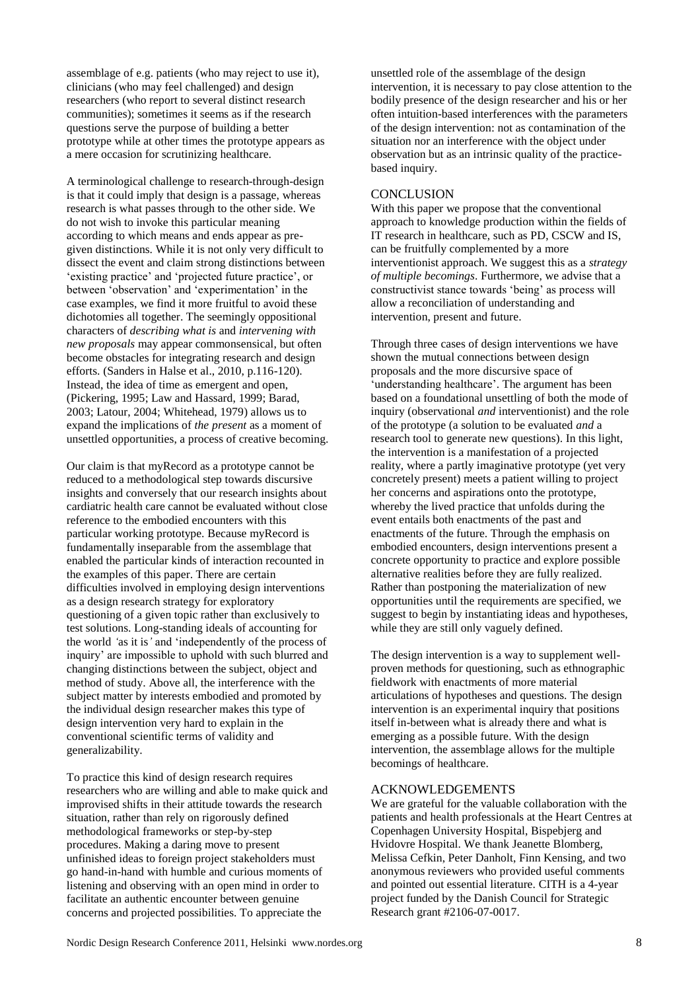assemblage of e.g. patients (who may reject to use it), clinicians (who may feel challenged) and design researchers (who report to several distinct research communities); sometimes it seems as if the research questions serve the purpose of building a better prototype while at other times the prototype appears as a mere occasion for scrutinizing healthcare.

A terminological challenge to research-through-design is that it could imply that design is a passage, whereas research is what passes through to the other side. We do not wish to invoke this particular meaning according to which means and ends appear as pregiven distinctions. While it is not only very difficult to dissect the event and claim strong distinctions between 'existing practice' and 'projected future practice', or between 'observation' and 'experimentation' in the case examples, we find it more fruitful to avoid these dichotomies all together. The seemingly oppositional characters of *describing what is* and *intervening with new proposals* may appear commonsensical, but often become obstacles for integrating research and design efforts. [\(Sanders in Halse et al., 2010, p.116-120\)](#page-8-28). Instead, the idea of time as emergent and open, [\(Pickering, 1995;](#page-9-8) [Law and Hassard, 1999;](#page-8-17) [Barad,](#page-8-18)  [2003;](#page-8-18) [Latour, 2004;](#page-8-29) [Whitehead, 1979\)](#page-9-18) allows us to expand the implications of *the present* as a moment of unsettled opportunities, a process of creative becoming.

Our claim is that myRecord as a prototype cannot be reduced to a methodological step towards discursive insights and conversely that our research insights about cardiatric health care cannot be evaluated without close reference to the embodied encounters with this particular working prototype. Because myRecord is fundamentally inseparable from the assemblage that enabled the particular kinds of interaction recounted in the examples of this paper. There are certain difficulties involved in employing design interventions as a design research strategy for exploratory questioning of a given topic rather than exclusively to test solutions. Long-standing ideals of accounting for the world *"*as it is*"* and 'independently of the process of inquiry' are impossible to uphold with such blurred and changing distinctions between the subject, object and method of study. Above all, the interference with the subject matter by interests embodied and promoted by the individual design researcher makes this type of design intervention very hard to explain in the conventional scientific terms of validity and generalizability.

To practice this kind of design research requires researchers who are willing and able to make quick and improvised shifts in their attitude towards the research situation, rather than rely on rigorously defined methodological frameworks or step-by-step procedures. Making a daring move to present unfinished ideas to foreign project stakeholders must go hand-in-hand with humble and curious moments of listening and observing with an open mind in order to facilitate an authentic encounter between genuine concerns and projected possibilities. To appreciate the

unsettled role of the assemblage of the design intervention, it is necessary to pay close attention to the bodily presence of the design researcher and his or her often intuition-based interferences with the parameters of the design intervention: not as contamination of the situation nor an interference with the object under observation but as an intrinsic quality of the practicebased inquiry.

#### **CONCLUSION**

With this paper we propose that the conventional approach to knowledge production within the fields of IT research in healthcare, such as PD, CSCW and IS, can be fruitfully complemented by a more interventionist approach. We suggest this as a *strategy of multiple becomings*. Furthermore, we advise that a constructivist stance towards 'being' as process will allow a reconciliation of understanding and intervention, present and future.

Through three cases of design interventions we have shown the mutual connections between design proposals and the more discursive space of 'understanding healthcare'. The argument has been based on a foundational unsettling of both the mode of inquiry (observational *and* interventionist) and the role of the prototype (a solution to be evaluated *and* a research tool to generate new questions). In this light, the intervention is a manifestation of a projected reality, where a partly imaginative prototype (yet very concretely present) meets a patient willing to project her concerns and aspirations onto the prototype, whereby the lived practice that unfolds during the event entails both enactments of the past and enactments of the future. Through the emphasis on embodied encounters, design interventions present a concrete opportunity to practice and explore possible alternative realities before they are fully realized. Rather than postponing the materialization of new opportunities until the requirements are specified, we suggest to begin by instantiating ideas and hypotheses, while they are still only vaguely defined.

The design intervention is a way to supplement wellproven methods for questioning, such as ethnographic fieldwork with enactments of more material articulations of hypotheses and questions. The design intervention is an experimental inquiry that positions itself in-between what is already there and what is emerging as a possible future. With the design intervention, the assemblage allows for the multiple becomings of healthcare.

### ACKNOWLEDGEMENTS

We are grateful for the valuable collaboration with the patients and health professionals at the Heart Centres at Copenhagen University Hospital, Bispebjerg and Hvidovre Hospital. We thank Jeanette Blomberg, Melissa Cefkin, Peter Danholt, Finn Kensing, and two anonymous reviewers who provided useful comments and pointed out essential literature. CITH is a 4-year project funded by the Danish Council for Strategic Research grant #2106-07-0017.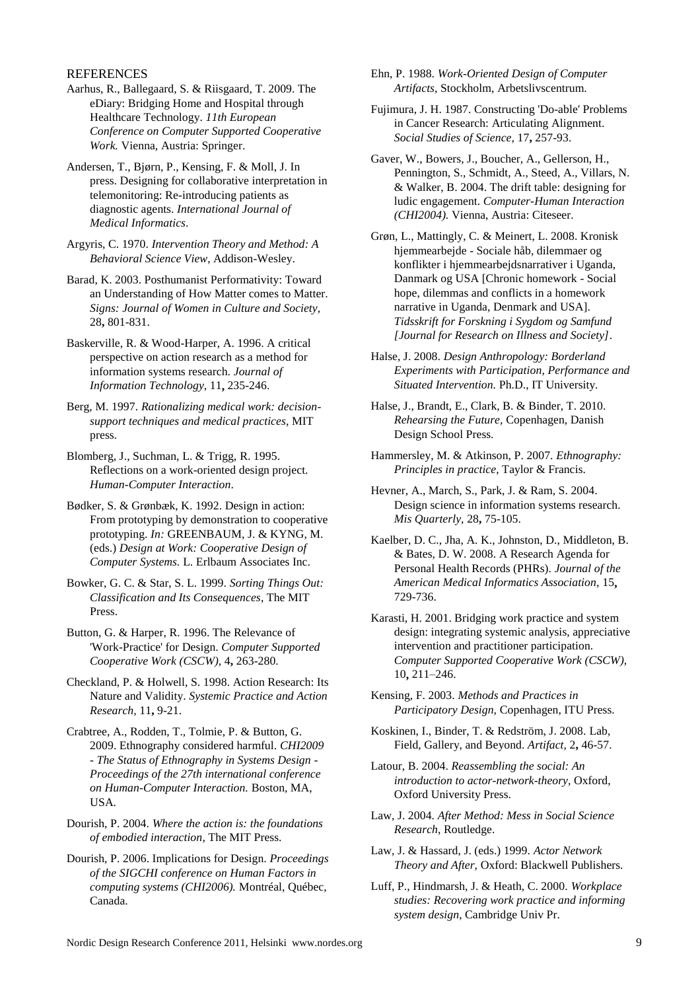# **REFERENCES**

- <span id="page-8-20"></span>Aarhus, R., Ballegaard, S. & Riisgaard, T. 2009. The eDiary: Bridging Home and Hospital through Healthcare Technology. *11th European Conference on Computer Supported Cooperative Work.* Vienna, Austria: Springer.
- <span id="page-8-1"></span>Andersen, T., Bjørn, P., Kensing, F. & Moll, J. In press. Designing for collaborative interpretation in telemonitoring: Re-introducing patients as diagnostic agents. *International Journal of Medical Informatics*.
- <span id="page-8-6"></span>Argyris, C. 1970. *Intervention Theory and Method: A Behavioral Science View*, Addison-Wesley.
- <span id="page-8-18"></span>Barad, K. 2003. Posthumanist Performativity: Toward an Understanding of How Matter comes to Matter. *Signs: Journal of Women in Culture and Society,* 28**,** 801-831.
- <span id="page-8-14"></span>Baskerville, R. & Wood-Harper, A. 1996. A critical perspective on action research as a method for information systems research. *Journal of Information Technology,* 11**,** 235-246.
- <span id="page-8-19"></span>Berg, M. 1997. *Rationalizing medical work: decisionsupport techniques and medical practices*, MIT press.
- <span id="page-8-2"></span>Blomberg, J., Suchman, L. & Trigg, R. 1995. Reflections on a work-oriented design project. *Human-Computer Interaction*.
- <span id="page-8-3"></span>Bødker, S. & Grønbæk, K. 1992. Design in action: From prototyping by demonstration to cooperative prototyping. *In:* GREENBAUM, J. & KYNG, M. (eds.) *Design at Work: Cooperative Design of Computer Systems.* L. Erlbaum Associates Inc.
- <span id="page-8-25"></span>Bowker, G. C. & Star, S. L. 1999. *Sorting Things Out: Classification and Its Consequences*, The MIT Press.
- <span id="page-8-12"></span>Button, G. & Harper, R. 1996. The Relevance of 'Work-Practice' for Design. *Computer Supported Cooperative Work (CSCW),* 4**,** 263-280.
- <span id="page-8-5"></span>Checkland, P. & Holwell, S. 1998. Action Research: Its Nature and Validity. *Systemic Practice and Action Research,* 11**,** 9-21.
- <span id="page-8-7"></span>Crabtree, A., Rodden, T., Tolmie, P. & Button, G. 2009. Ethnography considered harmful. *CHI2009 - The Status of Ethnography in Systems Design - Proceedings of the 27th international conference on Human-Computer Interaction.* Boston, MA, USA.
- <span id="page-8-24"></span>Dourish, P. 2004. *Where the action is: the foundations of embodied interaction*, The MIT Press.
- <span id="page-8-8"></span>Dourish, P. 2006. Implications for Design. *Proceedings of the SIGCHI conference on Human Factors in computing systems (CHI2006).* Montréal, Québec, Canada.
- <span id="page-8-23"></span>Ehn, P. 1988. *Work-Oriented Design of Computer Artifacts,* Stockholm, Arbetslivscentrum.
- <span id="page-8-22"></span>Fujimura, J. H. 1987. Constructing 'Do-able' Problems in Cancer Research: Articulating Alignment. *Social Studies of Science,* 17**,** 257-93.
- <span id="page-8-15"></span>Gaver, W., Bowers, J., Boucher, A., Gellerson, H., Pennington, S., Schmidt, A., Steed, A., Villars, N. & Walker, B. 2004. The drift table: designing for ludic engagement. *Computer-Human Interaction (CHI2004).* Vienna, Austria: Citeseer.
- <span id="page-8-26"></span>Grøn, L., Mattingly, C. & Meinert, L. 2008. Kronisk hjemmearbejde - Sociale håb, dilemmaer og konflikter i hjemmearbejdsnarrativer i Uganda, Danmark og USA [Chronic homework - Social hope, dilemmas and conflicts in a homework narrative in Uganda, Denmark and USA]. *Tidsskrift for Forskning i Sygdom og Samfund [Journal for Research on Illness and Society]*.
- <span id="page-8-10"></span>Halse, J. 2008. *Design Anthropology: Borderland Experiments with Participation, Performance and Situated Intervention.* Ph.D., IT University.
- <span id="page-8-28"></span>Halse, J., Brandt, E., Clark, B. & Binder, T. 2010. *Rehearsing the Future,* Copenhagen, Danish Design School Press.
- <span id="page-8-27"></span>Hammersley, M. & Atkinson, P. 2007. *Ethnography: Principles in practice*, Taylor & Francis.
- <span id="page-8-13"></span>Hevner, A., March, S., Park, J. & Ram, S. 2004. Design science in information systems research. *Mis Quarterly,* 28**,** 75-105.
- <span id="page-8-0"></span>Kaelber, D. C., Jha, A. K., Johnston, D., Middleton, B. & Bates, D. W. 2008. A Research Agenda for Personal Health Records (PHRs). *Journal of the American Medical Informatics Association,* 15**,** 729-736.
- <span id="page-8-11"></span>Karasti, H. 2001. Bridging work practice and system design: integrating systemic analysis, appreciative intervention and practitioner participation. *Computer Supported Cooperative Work (CSCW),* 10**,** 211–246.
- <span id="page-8-4"></span>Kensing, F. 2003. *Methods and Practices in Participatory Design,* Copenhagen, ITU Press.
- <span id="page-8-16"></span>Koskinen, I., Binder, T. & Redström, J. 2008. Lab, Field, Gallery, and Beyond. *Artifact,* 2**,** 46-57.
- <span id="page-8-29"></span>Latour, B. 2004. *Reassembling the social: An introduction to actor-network-theory,* Oxford, Oxford University Press.
- <span id="page-8-21"></span>Law, J. 2004. *After Method: Mess in Social Science Research*, Routledge.
- <span id="page-8-17"></span>Law, J. & Hassard, J. (eds.) 1999. *Actor Network Theory and After,* Oxford: Blackwell Publishers.
- <span id="page-8-9"></span>Luff, P., Hindmarsh, J. & Heath, C. 2000. *Workplace studies: Recovering work practice and informing system design*, Cambridge Univ Pr.